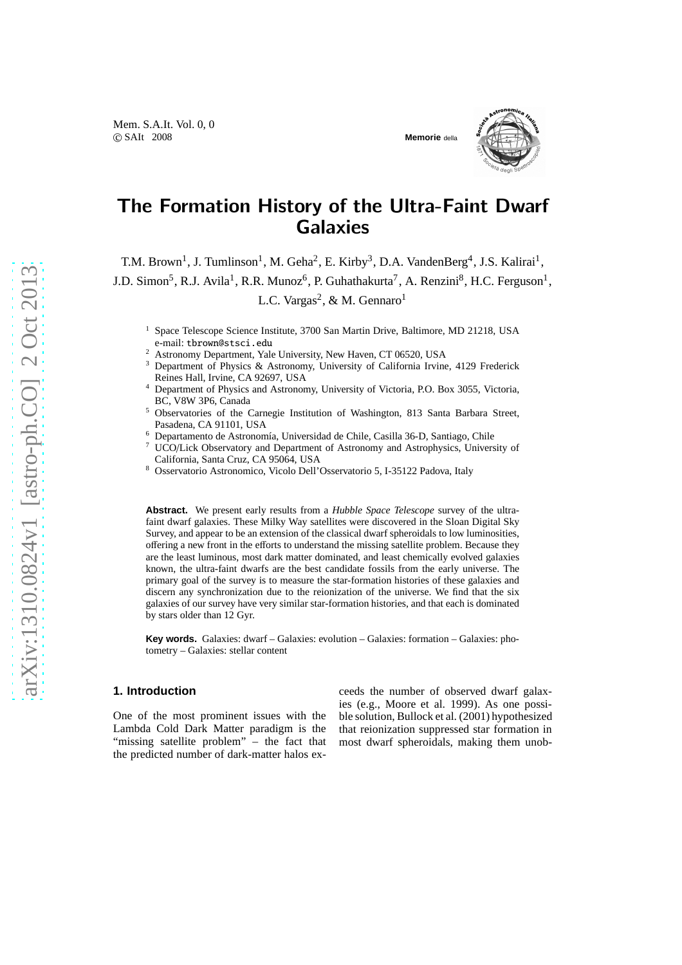

# The Formation History of the Ultra-Faint Dwarf **Galaxies**

T.M. Brown<sup>1</sup>, J. Tumlinson<sup>1</sup>, M. Geha<sup>2</sup>, E. Kirby<sup>3</sup>, D.A. VandenBerg<sup>4</sup>, J.S. Kalirai<sup>1</sup>, J.D. Simon<sup>5</sup>, R.J. Avila<sup>1</sup>, R.R. Munoz<sup>6</sup>, P. Guhathakurta<sup>7</sup>, A. Renzini<sup>8</sup>, H.C. Ferguson<sup>1</sup>, L.C. Vargas<sup>2</sup>, & M. Gennaro<sup>1</sup>

- <sup>1</sup> Space Telescope Science Institute, 3700 San Martin Drive, Baltimore, MD 21218, USA e-mail: tbrown@stsci.edu
- <sup>2</sup> Astronomy Department, Yale University, New Haven, CT 06520, USA
- <sup>3</sup> Department of Physics & Astronomy, University of California Irvine, 4129 Frederick Reines Hall, Irvine, CA 92697, USA
- <sup>4</sup> Department of Physics and Astronomy, University of Victoria, P.O. Box 3055, Victoria, BC, V8W 3P6, Canada
- <sup>5</sup> Observatories of the Carnegie Institution of Washington, 813 Santa Barbara Street, Pasadena, CA 91101, USA
- <sup>6</sup> Departamento de Astronomía, Universidad de Chile, Casilla 36-D, Santiago, Chile
- <sup>7</sup> UCO/Lick Observatory and Department of Astronomy and Astrophysics, University of California, Santa Cruz, CA 95064, USA
- <sup>8</sup> Osservatorio Astronomico, Vicolo Dell'Osservatorio 5, I-35122 Padova, Italy

**Abstract.** We present early results from a *Hubble Space Telescope* survey of the ultrafaint dwarf galaxies. These Milky Way satellites were discovered in the Sloan Digital Sky Survey, and appear to be an extension of the classical dwarf spheroidals to low luminosities, offering a new front in the efforts to understand the missing satellite problem. Because they are the least luminous, most dark matter dominated, and least chemically evolved galaxies known, the ultra-faint dwarfs are the best candidate fossils from the early universe. The primary goal of the survey is to measure the star-formation histories of these galaxies and discern any synchronization due to the reionization of the universe. We find that the six galaxies of our survey have very similar star-formation histories, and that each is dominated by stars older than 12 Gyr.

**Key words.** Galaxies: dwarf – Galaxies: evolution – Galaxies: formation – Galaxies: photometry – Galaxies: stellar content

### **1. Introduction**

One of the most prominent issues with the Lambda Cold Dark Matter paradigm is the "missing satellite problem" – the fact that the predicted number of dark-matter halos exceeds the number of observed dwarf galaxies (e.g., Moore et al. 1999). As one possible solution, Bullock et al. (2001) hypothesized that reionization suppressed star formation in most dwarf spheroidals, making them unob-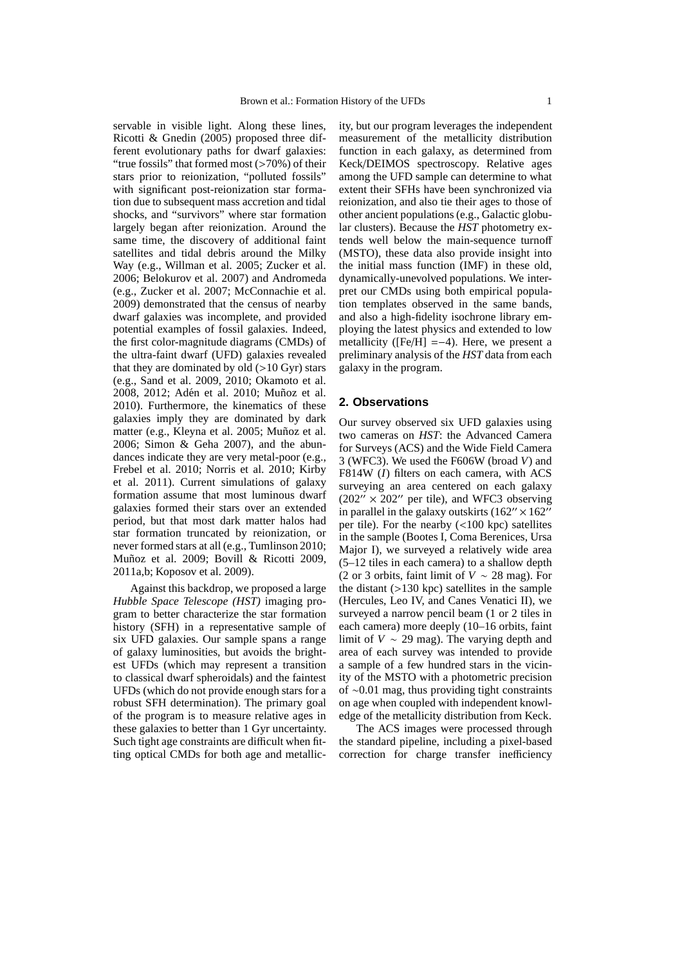servable in visible light. Along these lines, Ricotti & Gnedin (2005) proposed three different evolutionary paths for dwarf galaxies: "true fossils" that formed most (>70%) of their stars prior to reionization, "polluted fossils" with significant post-reionization star formation due to subsequent mass accretion and tidal shocks, and "survivors" where star formation largely began after reionization. Around the same time, the discovery of additional faint satellites and tidal debris around the Milky Way (e.g., Willman et al. 2005; Zucker et al. 2006; Belokurov et al. 2007) and Andromeda (e.g., Zucker et al. 2007; McConnachie et al. 2009) demonstrated that the census of nearby dwarf galaxies was incomplete, and provided potential examples of fossil galaxies. Indeed, the first color-magnitude diagrams (CMDs) of the ultra-faint dwarf (UFD) galaxies revealed that they are dominated by old  $(>10 \text{ Gyr})$  stars (e.g., Sand et al. 2009, 2010; Okamoto et al. 2008, 2012; Adén et al. 2010; Muñoz et al. 2010). Furthermore, the kinematics of these galaxies imply they are dominated by dark matter (e.g., Kleyna et al. 2005; Muñoz et al. 2006; Simon & Geha 2007), and the abundances indicate they are very metal-poor (e.g., Frebel et al. 2010; Norris et al. 2010; Kirby et al. 2011). Current simulations of galaxy formation assume that most luminous dwarf galaxies formed their stars over an extended period, but that most dark matter halos had star formation truncated by reionization, or never formed stars at all (e.g., Tumlinson 2010; Muñoz et al. 2009; Bovill & Ricotti 2009, 2011a,b; Koposov et al. 2009).

Against this backdrop, we proposed a large *Hubble Space Telescope (HST)* imaging program to better characterize the star formation history (SFH) in a representative sample of six UFD galaxies. Our sample spans a range of galaxy luminosities, but avoids the brightest UFDs (which may represent a transition to classical dwarf spheroidals) and the faintest UFDs (which do not provide enough stars for a robust SFH determination). The primary goal of the program is to measure relative ages in these galaxies to better than 1 Gyr uncertainty. Such tight age constraints are difficult when fitting optical CMDs for both age and metallicity, but our program leverages the independent measurement of the metallicity distribution function in each galaxy, as determined from Keck/DEIMOS spectroscopy. Relative ages among the UFD sample can determine to what extent their SFHs have been synchronized via reionization, and also tie their ages to those of other ancient populations (e.g., Galactic globular clusters). Because the *HST* photometry extends well below the main-sequence turnoff (MSTO), these data also provide insight into the initial mass function (IMF) in these old, dynamically-unevolved populations. We interpret our CMDs using both empirical population templates observed in the same bands, and also a high-fidelity isochrone library employing the latest physics and extended to low metallicity ( $[Fe/H] = -4$ ). Here, we present a preliminary analysis of the *HST* data from each galaxy in the program.

### **2. Observations**

Our survey observed six UFD galaxies using two cameras on *HST*: the Advanced Camera for Surveys (ACS) and the Wide Field Camera 3 (WFC3). We used the F606W (broad *V*) and F814W (*I*) filters on each camera, with ACS surveying an area centered on each galaxy  $(202^{\prime\prime} \times 202^{\prime\prime})$  per tile), and WFC3 observing in parallel in the galaxy outskirts  $(162'' \times 162'')$ per tile). For the nearby  $(<100$  kpc) satellites in the sample (Bootes I, Coma Berenices, Ursa Major I), we surveyed a relatively wide area (5–12 tiles in each camera) to a shallow depth (2 or 3 orbits, faint limit of *V* ∼ 28 mag). For the distant  $(>130 \text{ kpc})$  satellites in the sample (Hercules, Leo IV, and Canes Venatici II), we surveyed a narrow pencil beam (1 or 2 tiles in each camera) more deeply (10–16 orbits, faint limit of  $V \sim 29$  mag). The varying depth and area of each survey was intended to provide a sample of a few hundred stars in the vicinity of the MSTO with a photometric precision of ∼0.01 mag, thus providing tight constraints on age when coupled with independent knowledge of the metallicity distribution from Keck.

The ACS images were processed through the standard pipeline, including a pixel-based correction for charge transfer inefficiency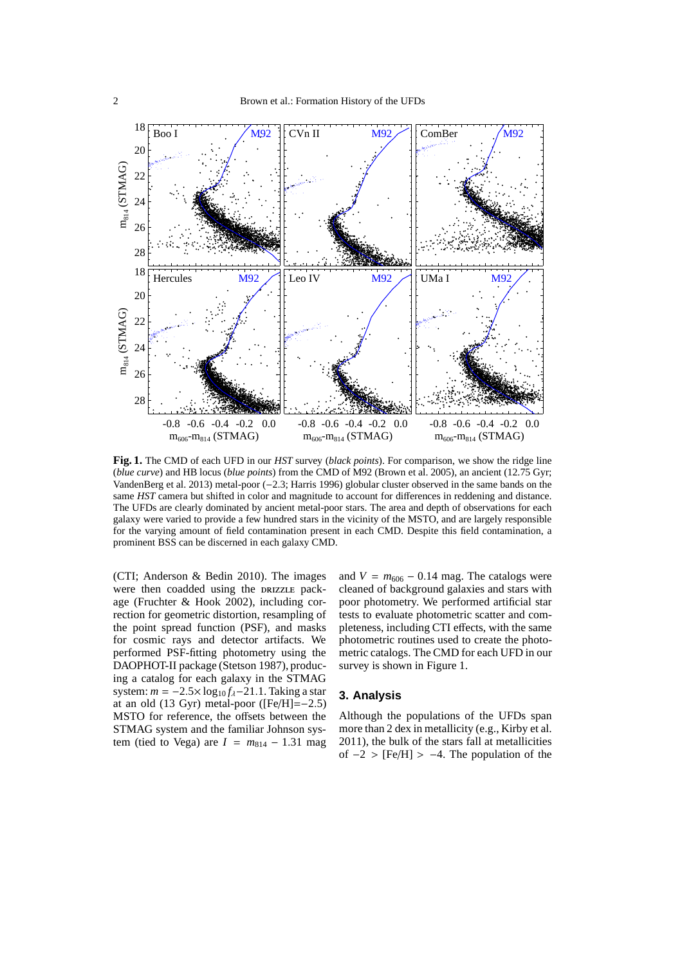

**Fig. 1.** The CMD of each UFD in our *HST* survey (*black points*). For comparison, we show the ridge line (*blue curve*) and HB locus (*blue points*) from the CMD of M92 (Brown et al. 2005), an ancient (12.75 Gyr; VandenBerg et al. 2013) metal-poor (−2.3; Harris 1996) globular cluster observed in the same bands on the same *HST* camera but shifted in color and magnitude to account for differences in reddening and distance. The UFDs are clearly dominated by ancient metal-poor stars. The area and depth of observations for each galaxy were varied to provide a few hundred stars in the vicinity of the MSTO, and are largely responsible for the varying amount of field contamination present in each CMD. Despite this field contamination, a prominent BSS can be discerned in each galaxy CMD.

(CTI; Anderson & Bedin 2010). The images were then coadded using the DRIZZLE package (Fruchter & Hook 2002), including correction for geometric distortion, resampling of the point spread function (PSF), and masks for cosmic rays and detector artifacts. We performed PSF-fitting photometry using the DAOPHOT-II package (Stetson 1987), producing a catalog for each galaxy in the STMAG system:  $m = -2.5 \times \log_{10} f_{\lambda} - 21.1$ . Taking a star at an old  $(13 \text{ Gyr})$  metal-poor ( $[Fe/H] = -2.5$ ) MSTO for reference, the offsets between the STMAG system and the familiar Johnson system (tied to Vega) are  $I = m_{814} - 1.31$  mag and  $V = m_{606} - 0.14$  mag. The catalogs were cleaned of background galaxies and stars with poor photometry. We performed artificial star tests to evaluate photometric scatter and completeness, including CTI effects, with the same photometric routines used to create the photometric catalogs. The CMD for each UFD in our survey is shown in Figure 1.

# **3. Analysis**

Although the populations of the UFDs span more than 2 dex in metallicity (e.g., Kirby et al. 2011), the bulk of the stars fall at metallicities of  $-2$  > [Fe/H] >  $-4$ . The population of the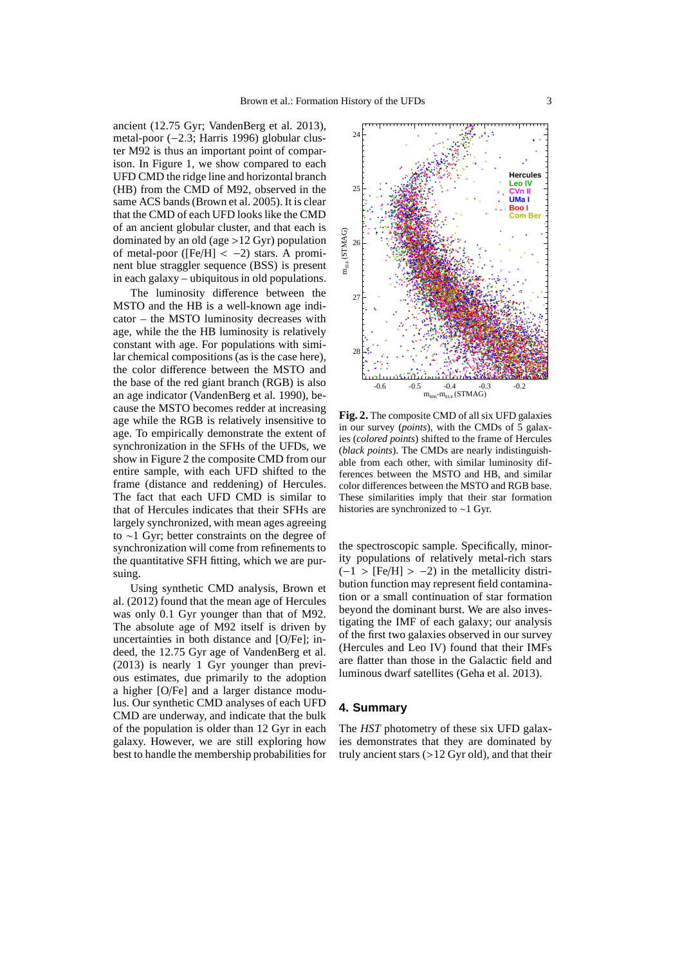ancient (12.75 Gyr; VandenBerg et al. 2013), metal-poor (−2.3; Harris 1996) globular cluster M92 is thus an important point of comparison. In Figure 1, we show compared to each UFD CMD the ridge line and horizontal branch (HB) from the CMD of M92, observed in the same ACS bands (Brown et al. 2005). It is clear that the CMD of each UFD looks like the CMD of an ancient globular cluster, and that each is dominated by an old (age >12 Gyr) population of metal-poor ( $[Fe/H] < -2$ ) stars. A prominent blue straggler sequence (BSS) is present in each galaxy – ubiquitous in old populations.

The luminosity difference between the MSTO and the HB is a well-known age indicator – the MSTO luminosity decreases with age, while the the HB luminosity is relatively constant with age. For populations with similar chemical compositions (as is the case here), the color difference between the MSTO and the base of the red giant branch (RGB) is also an age indicator (VandenBerg et al. 1990), because the MSTO becomes redder at increasing age while the RGB is relatively insensitive to age. To empirically demonstrate the extent of synchronization in the SFHs of the UFDs, we show in Figure 2 the composite CMD from our entire sample, with each UFD shifted to the frame (distance and reddening) of Hercules. The fact that each UFD CMD is similar to that of Hercules indicates that their SFHs are largely synchronized, with mean ages agreeing to ∼1 Gyr; better constraints on the degree of synchronization will come from refinements to the quantitative SFH fitting, which we are pursuing.

Using synthetic CMD analysis, Brown et al. (2012) found that the mean age of Hercules was only 0.1 Gyr younger than that of M92. The absolute age of M92 itself is driven by uncertainties in both distance and [O/Fe]; indeed, the 12.75 Gyr age of VandenBerg et al. (2013) is nearly 1 Gyr younger than previous estimates, due primarily to the adoption a higher [O/Fe] and a larger distance modulus. Our synthetic CMD analyses of each UFD CMD are underway, and indicate that the bulk of the population is older than 12 Gyr in each galaxy. However, we are still exploring how best to handle the membership probabilities for



**Fig. 2.** The composite CMD of all six UFD galaxies in our survey (*points*), with the CMDs of 5 galaxies (*colored points*) shifted to the frame of Hercules (*black points*). The CMDs are nearly indistinguishable from each other, with similar luminosity differences between the MSTO and HB, and similar color differences between the MSTO and RGB base. These similarities imply that their star formation histories are synchronized to ∼1 Gyr.

the spectroscopic sample. Specifically, minority populations of relatively metal-rich stars  $(-1 > [Fe/H] > -2)$  in the metallicity distribution function may represent field contamination or a small continuation of star formation beyond the dominant burst. We are also investigating the IMF of each galaxy; our analysis of the first two galaxies observed in our survey (Hercules and Leo IV) found that their IMFs are flatter than those in the Galactic field and luminous dwarf satellites (Geha et al. 2013).

## **4. Summary**

The *HST* photometry of these six UFD galaxies demonstrates that they are dominated by truly ancient stars (>12 Gyr old), and that their